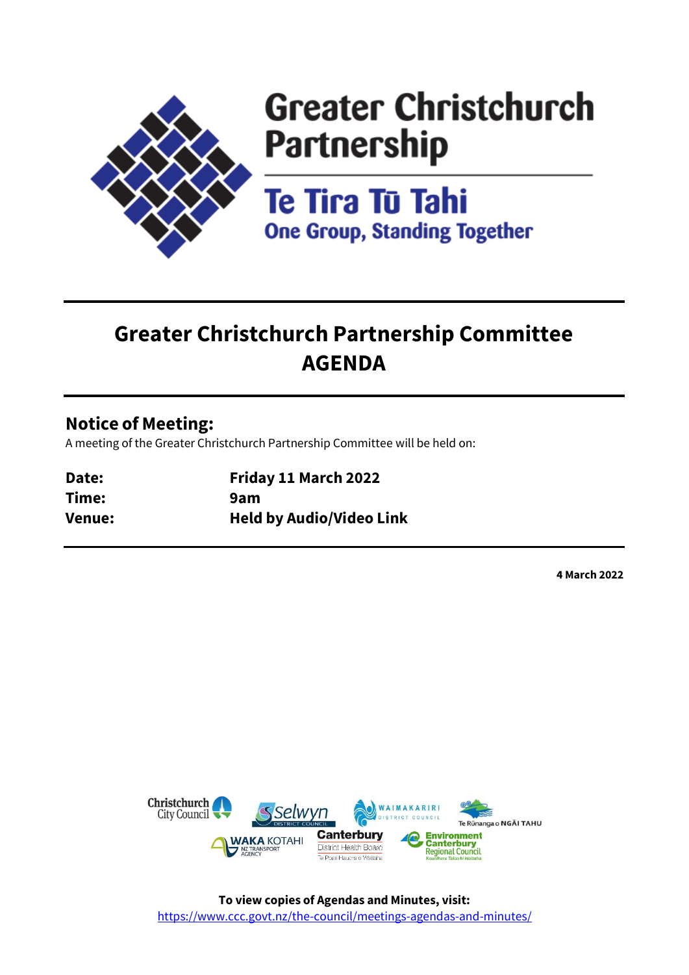

# **Greater Christchurch Partnership**

Te Tira Tū Tahi **One Group, Standing Together** 

## **Greater Christchurch Partnership Committee AGENDA**

## **Notice of Meeting:**

A meeting of the Greater Christchurch Partnership Committee will be held on:

| Date:  | Friday 11 March 2022            |
|--------|---------------------------------|
| Time:  | 9am                             |
| Venue: | <b>Held by Audio/Video Link</b> |

**4 March 2022**

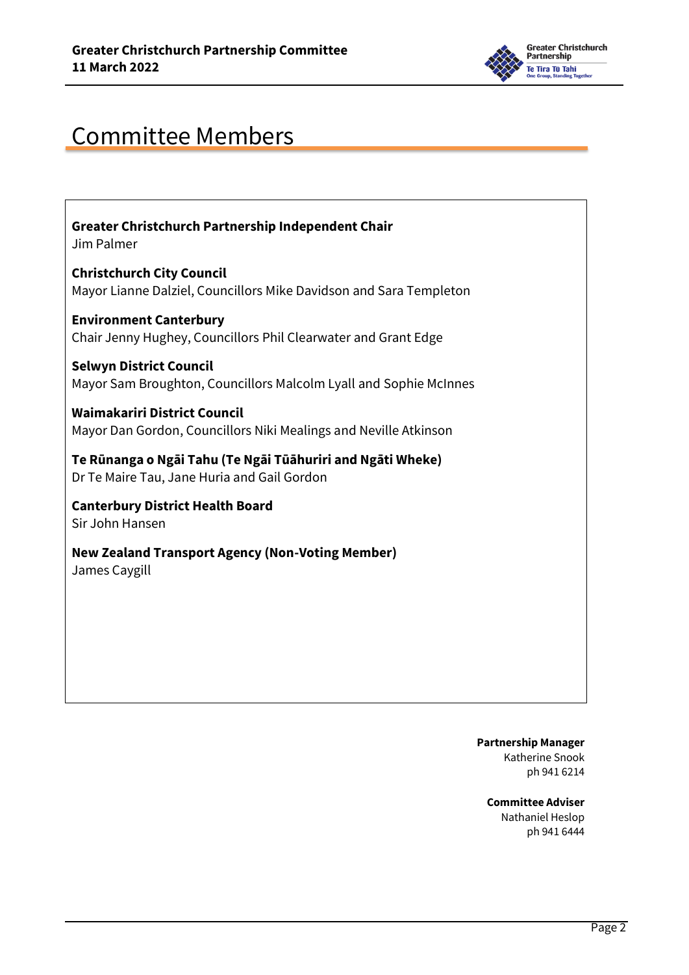

## Committee Members

**Greater Christchurch Partnership Independent Chair**  Jim Palmer

**Christchurch City Council**  Mayor Lianne Dalziel, Councillors Mike Davidson and Sara Templeton

**Environment Canterbury**  Chair Jenny Hughey, Councillors Phil Clearwater and Grant Edge

**Selwyn District Council**  Mayor Sam Broughton, Councillors Malcolm Lyall and Sophie McInnes

**Waimakariri District Council**  Mayor Dan Gordon, Councillors Niki Mealings and Neville Atkinson

**Te Rūnanga o Ngāi Tahu (Te Ngāi Tūāhuriri and Ngāti Wheke)**  Dr Te Maire Tau, Jane Huria and Gail Gordon

**Canterbury District Health Board**  Sir John Hansen

**New Zealand Transport Agency (Non-Voting Member)** James Caygill

> **Partnership Manager** Katherine Snook ph 941 6214

**Committee Adviser** Nathaniel Heslop ph 941 6444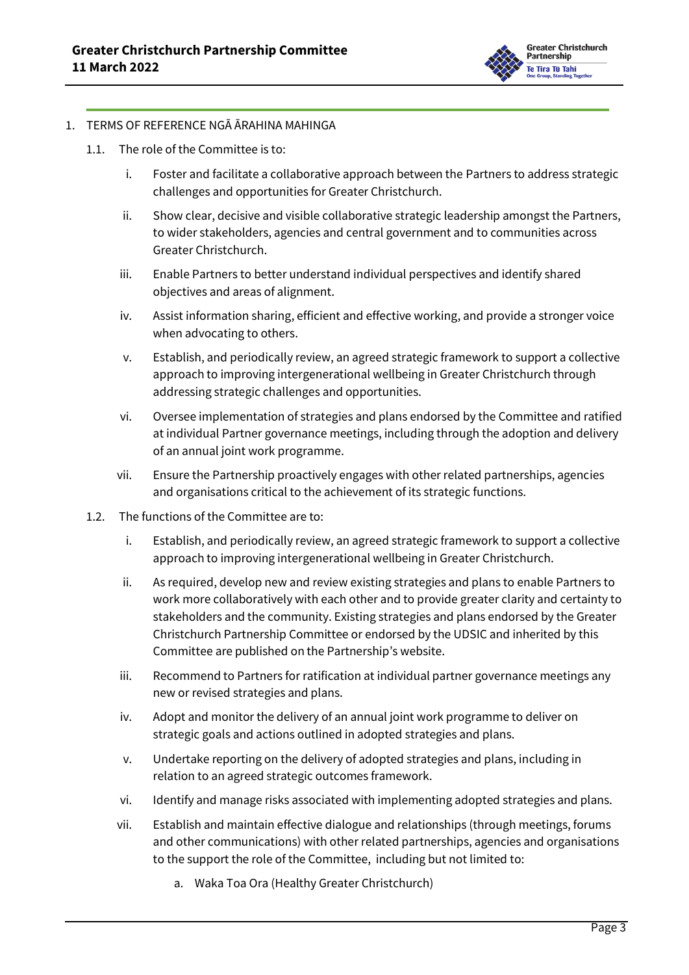

#### 1. TERMS OF REFERENCE NGĀ ĀRAHINA MAHINGA

- 1.1. The role of the Committee is to:
	- i. Foster and facilitate a collaborative approach between the Partners to address strategic challenges and opportunities for Greater Christchurch.
	- ii. Show clear, decisive and visible collaborative strategic leadership amongst the Partners, to wider stakeholders, agencies and central government and to communities across Greater Christchurch.
	- iii. Enable Partners to better understand individual perspectives and identify shared objectives and areas of alignment.
	- iv. Assist information sharing, efficient and effective working, and provide a stronger voice when advocating to others.
	- v. Establish, and periodically review, an agreed strategic framework to support a collective approach to improving intergenerational wellbeing in Greater Christchurch through addressing strategic challenges and opportunities.
	- vi. Oversee implementation of strategies and plans endorsed by the Committee and ratified at individual Partner governance meetings, including through the adoption and delivery of an annual joint work programme.
	- vii. Ensure the Partnership proactively engages with other related partnerships, agencies and organisations critical to the achievement of its strategic functions.
- 1.2. The functions of the Committee are to:
	- i. Establish, and periodically review, an agreed strategic framework to support a collective approach to improving intergenerational wellbeing in Greater Christchurch.
	- ii. As required, develop new and review existing strategies and plans to enable Partners to work more collaboratively with each other and to provide greater clarity and certainty to stakeholders and the community. Existing strategies and plans endorsed by the Greater Christchurch Partnership Committee or endorsed by the UDSIC and inherited by this Committee are published on the Partnership's website.
	- iii. Recommend to Partners for ratification at individual partner governance meetings any new or revised strategies and plans.
	- iv. Adopt and monitor the delivery of an annual joint work programme to deliver on strategic goals and actions outlined in adopted strategies and plans.
	- v. Undertake reporting on the delivery of adopted strategies and plans, including in relation to an agreed strategic outcomes framework.
	- vi. Identify and manage risks associated with implementing adopted strategies and plans.
	- vii. Establish and maintain effective dialogue and relationships (through meetings, forums and other communications) with other related partnerships, agencies and organisations to the support the role of the Committee, including but not limited to:
		- a. Waka Toa Ora (Healthy Greater Christchurch)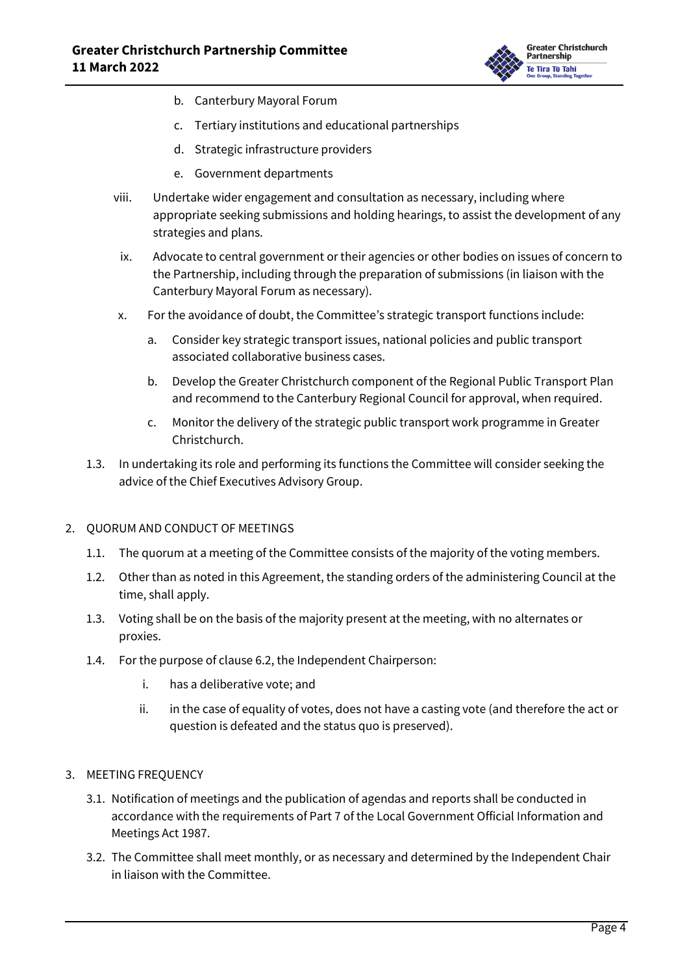

- b. Canterbury Mayoral Forum
- c. Tertiary institutions and educational partnerships
- d. Strategic infrastructure providers
- e. Government departments
- viii. Undertake wider engagement and consultation as necessary, including where appropriate seeking submissions and holding hearings, to assist the development of any strategies and plans.
- ix. Advocate to central government or their agencies or other bodies on issues of concern to the Partnership, including through the preparation of submissions (in liaison with the Canterbury Mayoral Forum as necessary).
- x. For the avoidance of doubt, the Committee's strategic transport functions include:
	- a. Consider key strategic transport issues, national policies and public transport associated collaborative business cases.
	- b. Develop the Greater Christchurch component of the Regional Public Transport Plan and recommend to the Canterbury Regional Council for approval, when required.
	- c. Monitor the delivery of the strategic public transport work programme in Greater Christchurch.
- 1.3. In undertaking its role and performing its functions the Committee will consider seeking the advice of the Chief Executives Advisory Group.

#### 2. QUORUM AND CONDUCT OF MEETINGS

- 1.1. The quorum at a meeting of the Committee consists of the majority of the voting members.
- 1.2. Other than as noted in this Agreement, the standing orders of the administering Council at the time, shall apply.
- 1.3. Voting shall be on the basis of the majority present at the meeting, with no alternates or proxies.
- 1.4. For the purpose of clause 6.2, the Independent Chairperson:
	- i. has a deliberative vote; and
	- ii. in the case of equality of votes, does not have a casting vote (and therefore the act or question is defeated and the status quo is preserved).

#### 3. MEETING FREQUENCY

- 3.1. Notification of meetings and the publication of agendas and reports shall be conducted in accordance with the requirements of Part 7 of the Local Government Official Information and Meetings Act 1987.
- 3.2. The Committee shall meet monthly, or as necessary and determined by the Independent Chair in liaison with the Committee.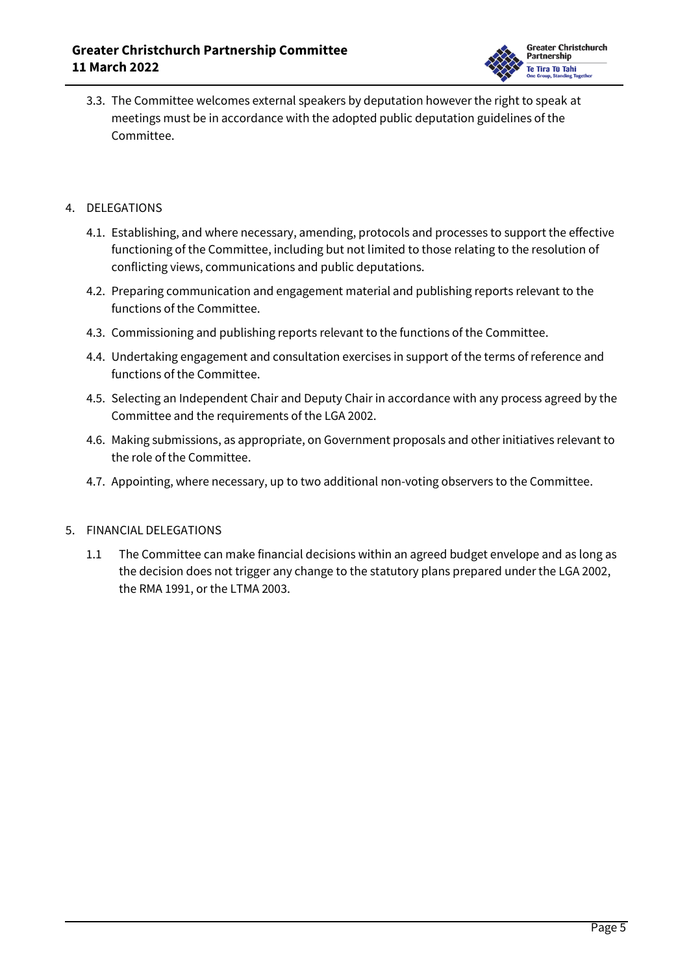

3.3. The Committee welcomes external speakers by deputation however the right to speak at meetings must be in accordance with the adopted public deputation guidelines of the Committee.

#### 4. DELEGATIONS

- 4.1. Establishing, and where necessary, amending, protocols and processes to support the effective functioning of the Committee, including but not limited to those relating to the resolution of conflicting views, communications and public deputations.
- 4.2. Preparing communication and engagement material and publishing reports relevant to the functions of the Committee.
- 4.3. Commissioning and publishing reports relevant to the functions of the Committee.
- 4.4. Undertaking engagement and consultation exercises in support of the terms of reference and functions of the Committee.
- 4.5. Selecting an Independent Chair and Deputy Chair in accordance with any process agreed by the Committee and the requirements of the LGA 2002.
- 4.6. Making submissions, as appropriate, on Government proposals and other initiatives relevant to the role of the Committee.
- 4.7. Appointing, where necessary, up to two additional non-voting observers to the Committee.

#### 5. FINANCIAL DELEGATIONS

1.1 The Committee can make financial decisions within an agreed budget envelope and as long as the decision does not trigger any change to the statutory plans prepared under the LGA 2002, the RMA 1991, or the LTMA 2003.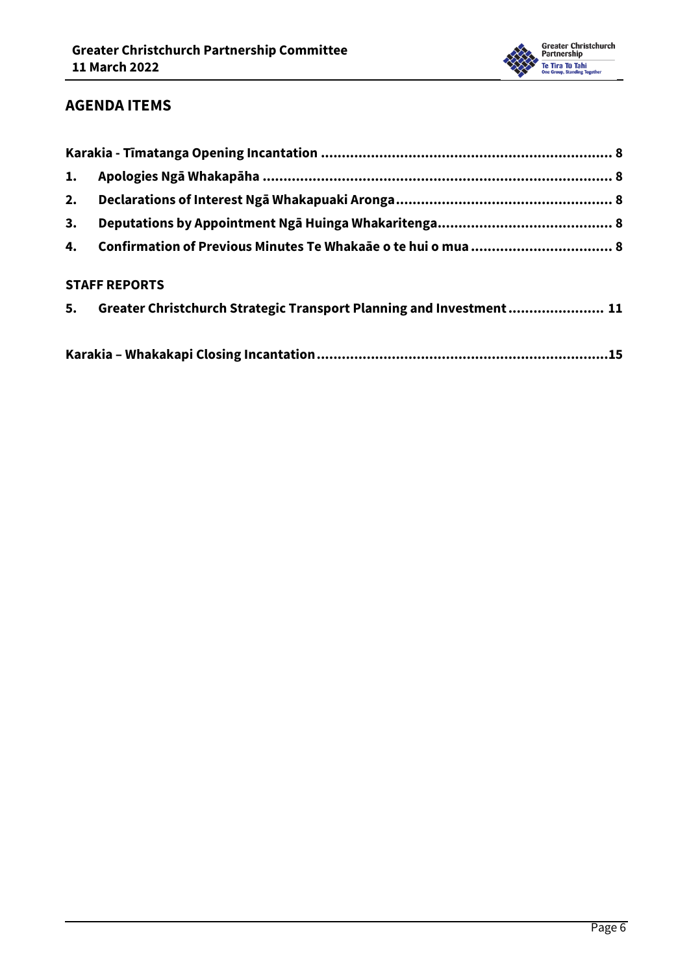

#### **AGENDA ITEMS**

| 1. |                                                                        |  |
|----|------------------------------------------------------------------------|--|
| 2. |                                                                        |  |
| 3. |                                                                        |  |
|    |                                                                        |  |
|    | <b>STAFF REPORTS</b>                                                   |  |
|    | 5. Greater Christchurch Strategic Transport Planning and Investment 11 |  |
|    |                                                                        |  |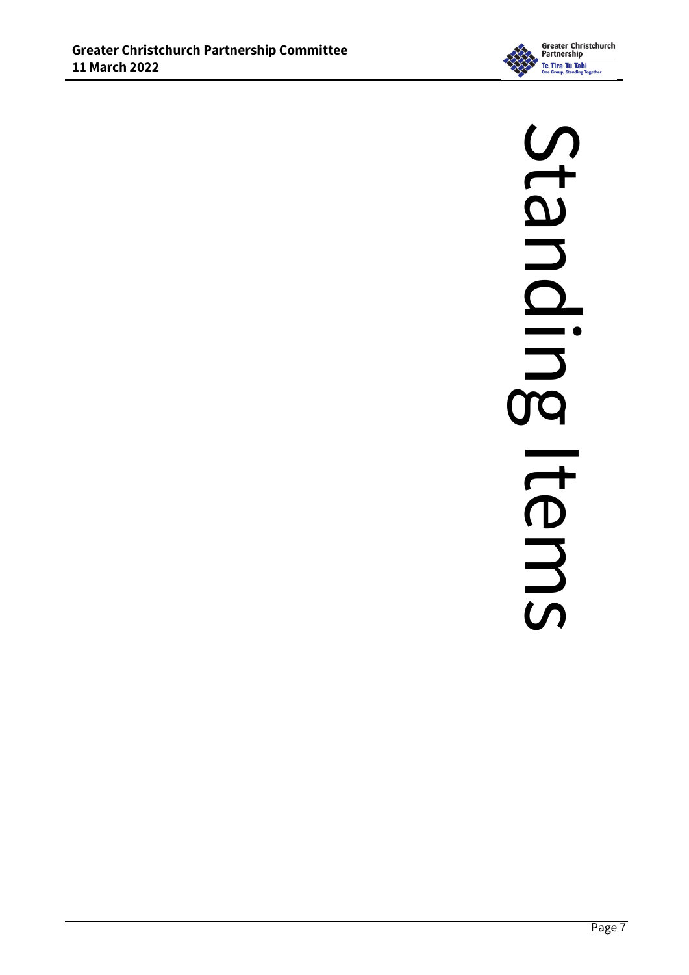

# Standling Standing ItemsItems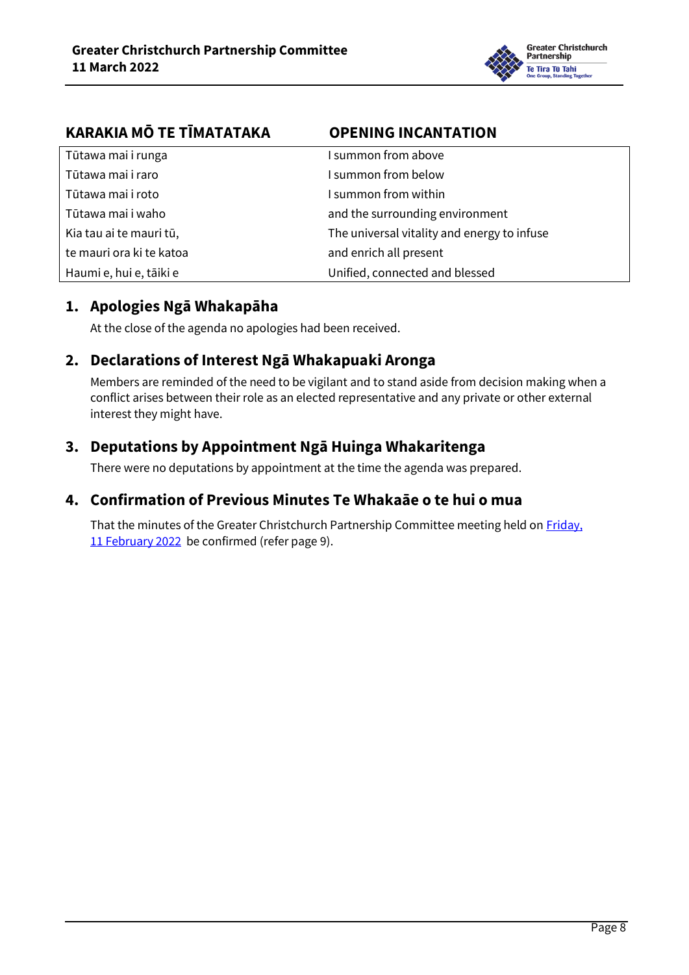

<span id="page-7-0"></span>

| KARAKIA MŌ TE TĪMATATAKA | <b>OPENING INCANTATION</b>                  |
|--------------------------|---------------------------------------------|
| Tūtawa mai i runga       | I summon from above                         |
| Tūtawa mai i raro        | I summon from below                         |
| Tūtawa mai i roto        | I summon from within                        |
| Tūtawa mai i waho        | and the surrounding environment             |
| Kia tau ai te mauri tū,  | The universal vitality and energy to infuse |
| te mauri ora ki te katoa | and enrich all present                      |
| Haumi e, hui e, tāiki e  | Unified, connected and blessed              |

#### <span id="page-7-1"></span>**1. Apologies Ngā Whakapāha**

At the close of the agenda no apologies had been received.

#### <span id="page-7-2"></span>**2. Declarations of Interest Ngā Whakapuaki Aronga**

Members are reminded of the need to be vigilant and to stand aside from decision making when a conflict arises between their role as an elected representative and any private or other external interest they might have.

#### <span id="page-7-3"></span>**3. Deputations by Appointment Ngā Huinga Whakaritenga**

There were no deputations by appointment at the time the agenda was prepared.

#### <span id="page-7-4"></span>**4. Confirmation of Previous Minutes Te Whakaāe o te hui o mua**

That the minutes of the Greater Christchurch Partnership Committee meeting held on Friday, [11 February 2022](../../../RedirectToInvalidFileName.aspx?FileName=GCPC_20220211_MIN_7818.PDF) be confirmed (refer pag[e 9\)](#page-8-0).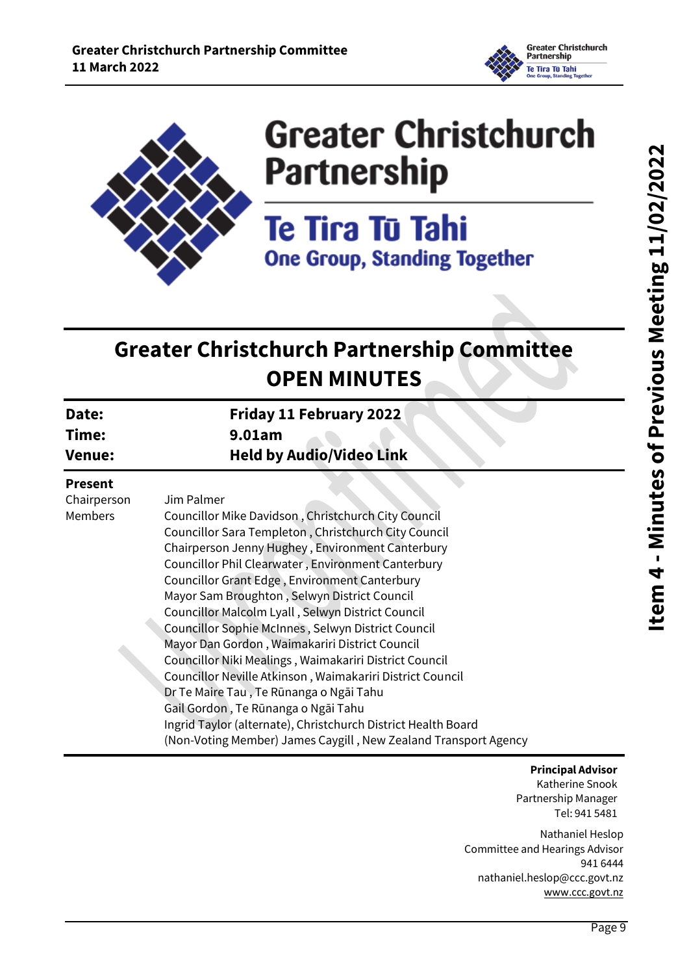

<span id="page-8-0"></span>

# **Greater Christchurch Partnership**

Te Tira Tū Tahi **One Group, Standing Together** 

# **Greater Christchurch Partnership Committee OPEN MINUTES**

| Date:<br>Time:<br><b>Venue:</b>                 | Friday 11 February 2022<br>9.01am<br><b>Held by Audio/Video Link</b>                                                                                                                                                                                                                                                                                                                                                                                                                                                                                                                                                                                                                                                                                                                                                                           |  |
|-------------------------------------------------|------------------------------------------------------------------------------------------------------------------------------------------------------------------------------------------------------------------------------------------------------------------------------------------------------------------------------------------------------------------------------------------------------------------------------------------------------------------------------------------------------------------------------------------------------------------------------------------------------------------------------------------------------------------------------------------------------------------------------------------------------------------------------------------------------------------------------------------------|--|
| <b>Present</b><br>Chairperson<br><b>Members</b> | Jim Palmer<br>Councillor Mike Davidson, Christchurch City Council<br>Councillor Sara Templeton, Christchurch City Council<br>Chairperson Jenny Hughey, Environment Canterbury<br>Councillor Phil Clearwater, Environment Canterbury<br>Councillor Grant Edge, Environment Canterbury<br>Mayor Sam Broughton, Selwyn District Council<br>Councillor Malcolm Lyall, Selwyn District Council<br>Councillor Sophie McInnes, Selwyn District Council<br>Mayor Dan Gordon, Waimakariri District Council<br>Councillor Niki Mealings, Waimakariri District Council<br>Councillor Neville Atkinson, Waimakariri District Council<br>Dr Te Maire Tau, Te Rūnanga o Ngāi Tahu<br>Gail Gordon, Te Rūnanga o Ngāi Tahu<br>Ingrid Taylor (alternate), Christchurch District Health Board<br>(Non-Voting Member) James Caygill, New Zealand Transport Agency |  |

**Principal Advisor**

Katherine Snook Partnership Manager Tel: 941 5481

Nathaniel Heslop Committee and Hearings Advisor 941 6444 nathaniel.heslop@ccc.govt.nz [www.ccc.govt.nz](http://www.ccc.govt.nz/)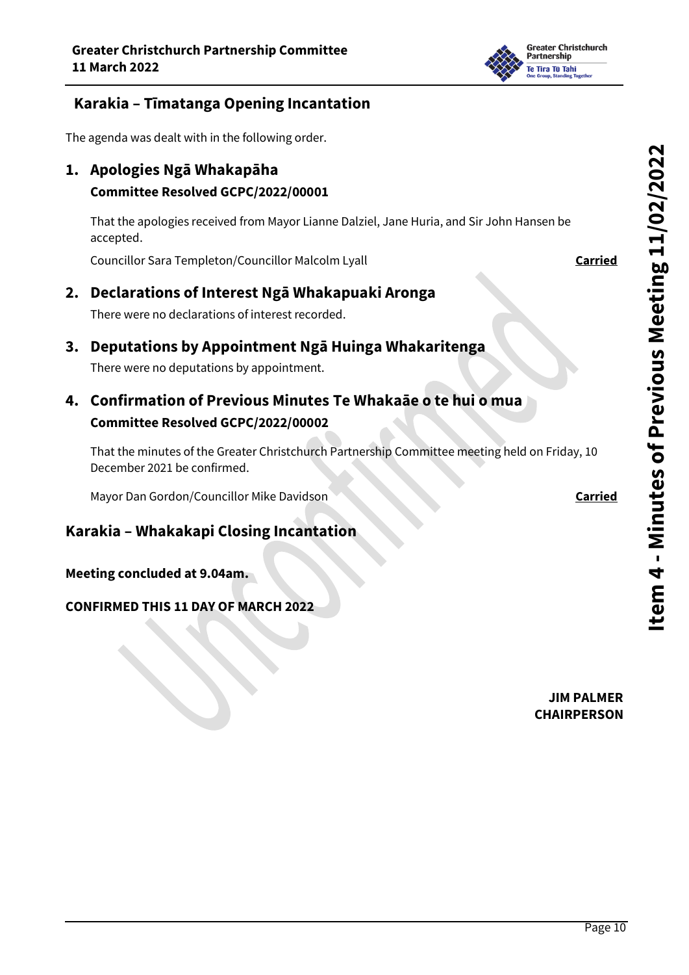

#### **Karakia – Tīmatanga Opening Incantation**

The agenda was dealt with in the following order.

**1. Apologies Ngā Whakapāha** 

#### **Committee Resolved GCPC/2022/00001**

That the apologies received from Mayor Lianne Dalziel, Jane Huria, and Sir John Hansen be accepted.

Councillor Sara Templeton/Councillor Malcolm Lyall **Carried**

#### **2. Declarations of Interest Ngā Whakapuaki Aronga**

There were no declarations of interest recorded.

**3. Deputations by Appointment Ngā Huinga Whakaritenga**

There were no deputations by appointment.

### **4. Confirmation of Previous Minutes Te Whakaāe o te hui o mua Committee Resolved GCPC/2022/00002**

That the minutes of the Greater Christchurch Partnership Committee meeting held on Friday, 10 December 2021 be confirmed.

Mayor Dan Gordon/Councillor Mike Davidson **Carried Carried** 

#### **Karakia – Whakakapi Closing Incantation**

**Meeting concluded at 9.04am.**

#### **CONFIRMED THIS 11 DAY OF MARCH 2022**

**Item 4 -Minutes of Previous Meeting 11/02/2022**

**JIM PALMER CHAIRPERSON**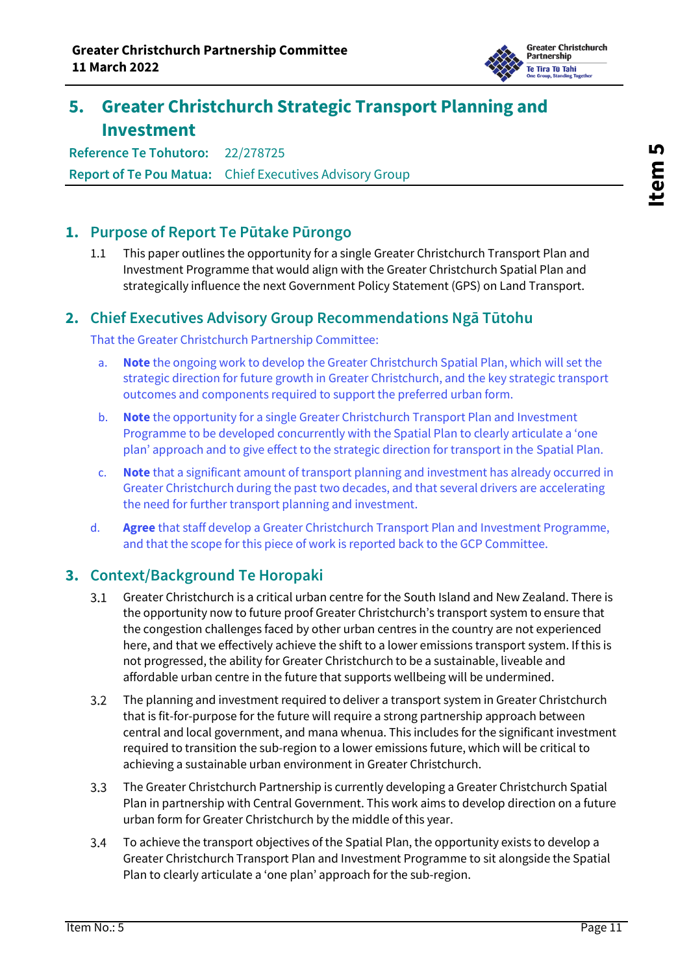

## <span id="page-10-0"></span>**5. Greater Christchurch Strategic Transport Planning and Investment**

**Reference Te Tohutoro:** 22/278725 **Report of Te Pou Matua:** Chief Executives Advisory Group

#### **1. Purpose of Report Te Pūtake Pūrongo**

1.1 This paper outlines the opportunity for a single Greater Christchurch Transport Plan and Investment Programme that would align with the Greater Christchurch Spatial Plan and strategically influence the next Government Policy Statement (GPS) on Land Transport.

#### **2. Chief Executives Advisory Group Recommendations Ngā Tūtohu**

That the Greater Christchurch Partnership Committee:

- a. **Note** the ongoing work to develop the Greater Christchurch Spatial Plan, which will set the strategic direction for future growth in Greater Christchurch, and the key strategic transport outcomes and components required to support the preferred urban form.
- b. **Note** the opportunity for a single Greater Christchurch Transport Plan and Investment Programme to be developed concurrently with the Spatial Plan to clearly articulate a 'one plan' approach and to give effect to the strategic direction for transport in the Spatial Plan.
- c. **Note** that a significant amount of transport planning and investment has already occurred in Greater Christchurch during the past two decades, and that several drivers are accelerating the need for further transport planning and investment.
- d. **Agree** that staff develop a Greater Christchurch Transport Plan and Investment Programme, and that the scope for this piece of work is reported back to the GCP Committee.

#### **3. Context/Background Te Horopaki**

- $3.1$ Greater Christchurch is a critical urban centre for the South Island and New Zealand. There is the opportunity now to future proof Greater Christchurch's transport system to ensure that the congestion challenges faced by other urban centres in the country are not experienced here, and that we effectively achieve the shift to a lower emissions transport system. If this is not progressed, the ability for Greater Christchurch to be a sustainable, liveable and affordable urban centre in the future that supports wellbeing will be undermined.
- $3.2$ The planning and investment required to deliver a transport system in Greater Christchurch that is fit-for-purpose for the future will require a strong partnership approach between central and local government, and mana whenua. This includes for the significant investment required to transition the sub-region to a lower emissions future, which will be critical to achieving a sustainable urban environment in Greater Christchurch.
- The Greater Christchurch Partnership is currently developing a Greater Christchurch Spatial  $3.3$ Plan in partnership with Central Government. This work aims to develop direction on a future urban form for Greater Christchurch by the middle of this year.
- $3.4$ To achieve the transport objectives of the Spatial Plan, the opportunity exists to develop a Greater Christchurch Transport Plan and Investment Programme to sit alongside the Spatial Plan to clearly articulate a 'one plan' approach for the sub-region.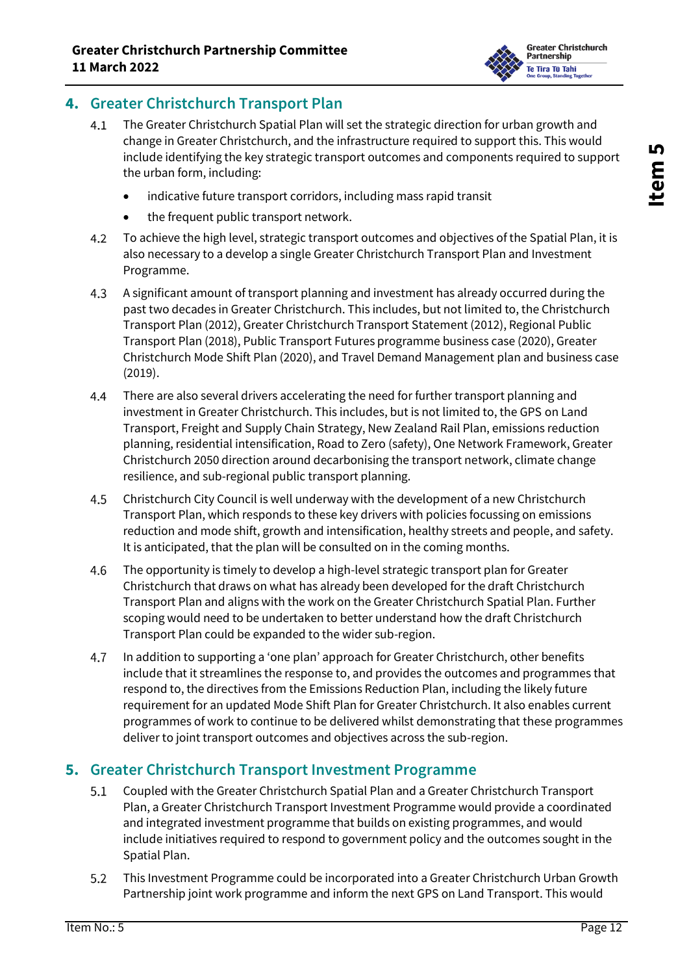

#### **4. Greater Christchurch Transport Plan**

- $4.1$ The Greater Christchurch Spatial Plan will set the strategic direction for urban growth and change in Greater Christchurch, and the infrastructure required to support this. This would include identifying the key strategic transport outcomes and components required to support the urban form, including:
	- indicative future transport corridors, including mass rapid transit
	- the frequent public transport network.
- $4.2$ To achieve the high level, strategic transport outcomes and objectives of the Spatial Plan, it is also necessary to a develop a single Greater Christchurch Transport Plan and Investment Programme.
- $4.3$ A significant amount of transport planning and investment has already occurred during the past two decades in Greater Christchurch. This includes, but not limited to, the Christchurch Transport Plan (2012), Greater Christchurch Transport Statement (2012), Regional Public Transport Plan (2018), Public Transport Futures programme business case (2020), Greater Christchurch Mode Shift Plan (2020), and Travel Demand Management plan and business case (2019).
- 4.4 There are also several drivers accelerating the need for further transport planning and investment in Greater Christchurch. This includes, but is not limited to, the GPS on Land Transport, Freight and Supply Chain Strategy, New Zealand Rail Plan, emissions reduction planning, residential intensification, Road to Zero (safety), One Network Framework, Greater Christchurch 2050 direction around decarbonising the transport network, climate change resilience, and sub-regional public transport planning.
- 4.5 Christchurch City Council is well underway with the development of a new Christchurch Transport Plan, which responds to these key drivers with policies focussing on emissions reduction and mode shift, growth and intensification, healthy streets and people, and safety. It is anticipated, that the plan will be consulted on in the coming months.
- 4.6 The opportunity is timely to develop a high-level strategic transport plan for Greater Christchurch that draws on what has already been developed for the draft Christchurch Transport Plan and aligns with the work on the Greater Christchurch Spatial Plan. Further scoping would need to be undertaken to better understand how the draft Christchurch Transport Plan could be expanded to the wider sub-region.
- 4.7 In addition to supporting a 'one plan' approach for Greater Christchurch, other benefits include that it streamlines the response to, and provides the outcomes and programmes that respond to, the directives from the Emissions Reduction Plan, including the likely future requirement for an updated Mode Shift Plan for Greater Christchurch. It also enables current programmes of work to continue to be delivered whilst demonstrating that these programmes deliver to joint transport outcomes and objectives across the sub-region.

#### **5. Greater Christchurch Transport Investment Programme**

- $5.1$ Coupled with the Greater Christchurch Spatial Plan and a Greater Christchurch Transport Plan, a Greater Christchurch Transport Investment Programme would provide a coordinated and integrated investment programme that builds on existing programmes, and would include initiatives required to respond to government policy and the outcomes sought in the Spatial Plan.
- $5.2$ This Investment Programme could be incorporated into a Greater Christchurch Urban Growth Partnership joint work programme and inform the next GPS on Land Transport. This would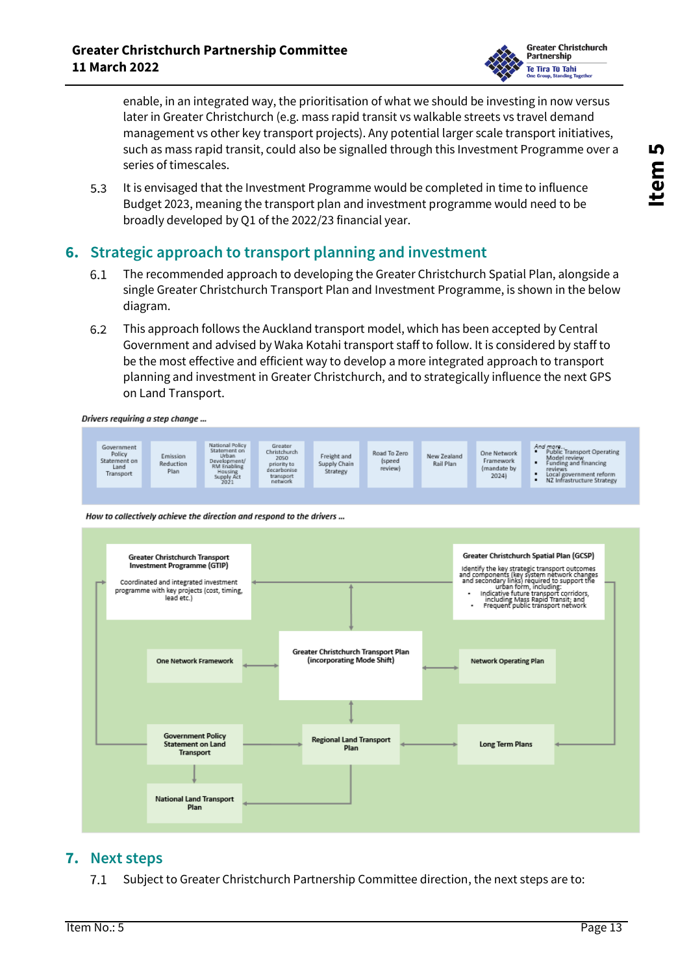

enable, in an integrated way, the prioritisation of what we should be investing in now versus later in Greater Christchurch (e.g. mass rapid transit vs walkable streets vs travel demand management vs other key transport projects). Any potential larger scale transport initiatives, such as mass rapid transit, could also be signalled through this Investment Programme over a series of timescales.

 $5.3$ It is envisaged that the Investment Programme would be completed in time to influence Budget 2023, meaning the transport plan and investment programme would need to be broadly developed by Q1 of the 2022/23 financial year.

#### **6. Strategic approach to transport planning and investment**

- $6.1$ The recommended approach to developing the Greater Christchurch Spatial Plan, alongside a single Greater Christchurch Transport Plan and Investment Programme, is shown in the below diagram.
- 6.2 This approach follows the Auckland transport model, which has been accepted by Central Government and advised by Waka Kotahi transport staff to follow. It is considered by staff to be the most effective and efficient way to develop a more integrated approach to transport planning and investment in Greater Christchurch, and to strategically influence the next GPS on Land Transport.

Drivers requiring a step change ...



How to collectively achieve the direction and respond to the drivers ...



#### **7. Next steps**

 $7.1$ Subject to Greater Christchurch Partnership Committee direction, the next steps are to: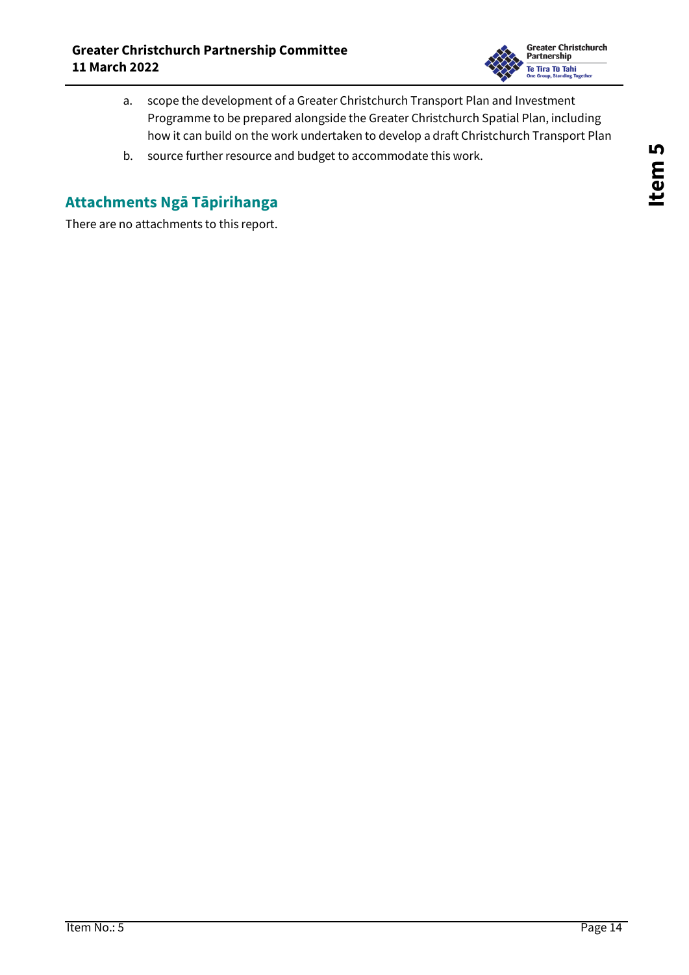

- a. scope the development of a Greater Christchurch Transport Plan and Investment Programme to be prepared alongside the Greater Christchurch Spatial Plan, including how it can build on the work undertaken to develop a draft Christchurch Transport Plan
- b. source further resource and budget to accommodate this work.

## **Attachments Ngā Tāpirihanga**

There are no attachments to this report.